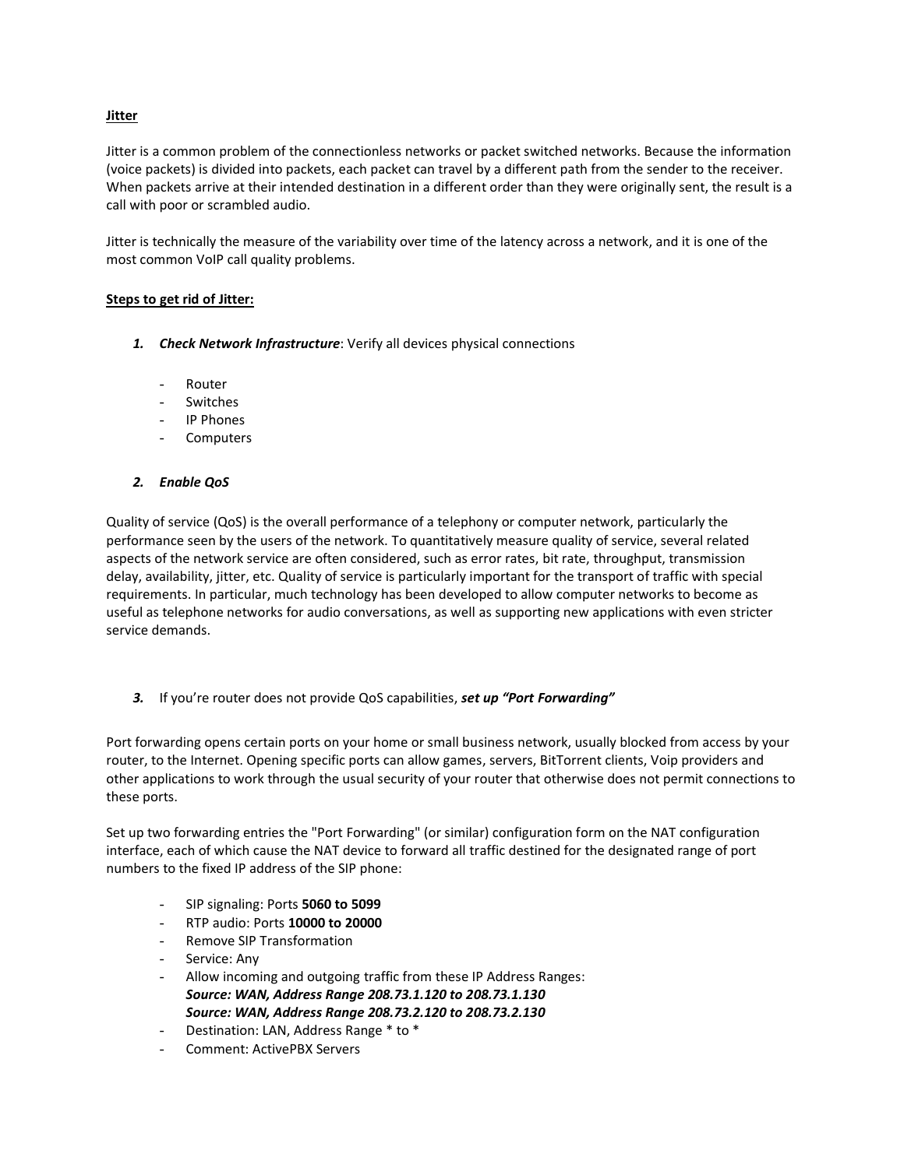## **Jitter**

Jitter is a common problem of the connectionless networks or packet switched networks. Because the information (voice packets) is divided into packets, each packet can travel by a different path from the sender to the receiver. When packets arrive at their intended destination in a different order than they were originally sent, the result is a call with poor or scrambled audio.

Jitter is technically the measure of the variability over time of the latency across a network, and it is one of the most common VoIP call quality problems.

## **Steps to get rid of Jitter:**

- *1. Check Network Infrastructure*: Verify all devices physical connections
	- Router
	- **Switches**
	- IP Phones
	- Computers
- *2. Enable QoS*

Quality of service (QoS) is the overall performance of a telephony or computer network, particularly the performance seen by the users of the network. To quantitatively measure quality of service, several related aspects of the network service are often considered, such as error rates, bit rate, throughput, transmission delay, availability, jitter, etc. Quality of service is particularly important for the transport of traffic with special requirements. In particular, much technology has been developed to allow computer networks to become as useful as telephone networks for audio conversations, as well as supporting new applications with even stricter service demands.

*3.* If you're router does not provide QoS capabilities, *set up "Port Forwarding"*

Port forwarding opens certain ports on your home or small business network, usually blocked from access by your router, to the Internet. Opening specific ports can allow games, servers, BitTorrent clients, Voip providers and other applications to work through the usual security of your router that otherwise does not permit connections to these ports.

Set up two forwarding entries the "Port Forwarding" (or similar) configuration form on the NAT configuration interface, each of which cause the NAT device to forward all traffic destined for the designated range of port numbers to the fixed IP address of the SIP phone:

- SIP signaling: Ports **5060 to 5099**
- RTP audio: Ports **10000 to 20000**
- Remove SIP Transformation
- Service: Any
- Allow incoming and outgoing traffic from these IP Address Ranges: *Source: WAN, Address Range 208.73.1.120 to 208.73.1.130 Source: WAN, Address Range 208.73.2.120 to 208.73.2.130*
- Destination: LAN, Address Range \* to \*
- Comment: ActivePBX Servers